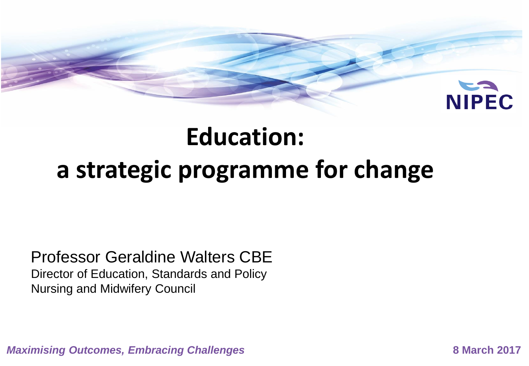

### **Education:**

### **a strategic programme for change**

### Professor Geraldine Walters CBE

Director of Education, Standards and Policy Nursing and Midwifery Council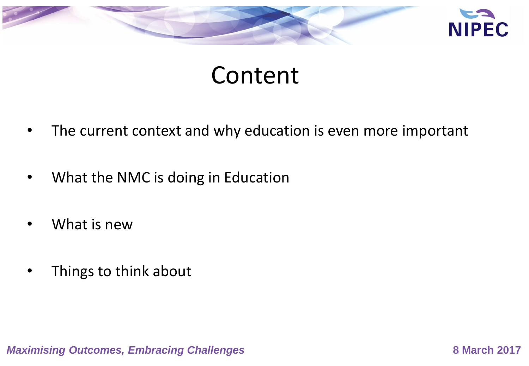

### Content

- The current context and why education is even more important
- What the NMC is doing in Education
- What is new
- Things to think about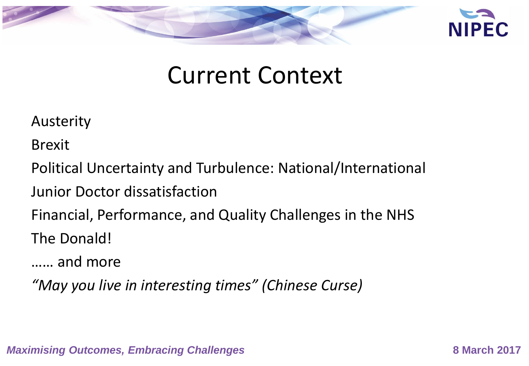

### Current Context

Austerity

Brexit

Political Uncertainty and Turbulence: National/International

Junior Doctor dissatisfaction

Financial, Performance, and Quality Challenges in the NHS The Donald!

…… and more

*"May you live in interesting times" (Chinese Curse)*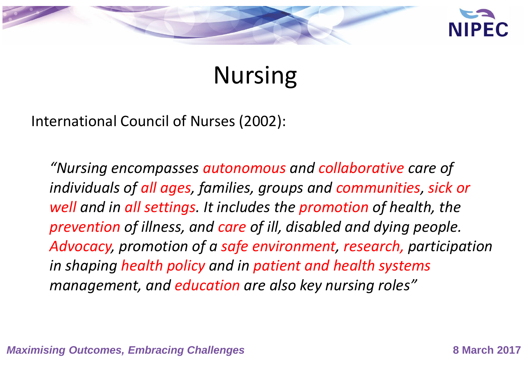

### Nursing

International Council of Nurses (2002):

*"Nursing encompasses autonomous and collaborative care of individuals of all ages, families, groups and communities, sick or well and in all settings. It includes the promotion of health, the prevention of illness, and care of ill, disabled and dying people. Advocacy, promotion of a safe environment, research, participation in shaping health policy and in patient and health systems management, and education are also key nursing roles"*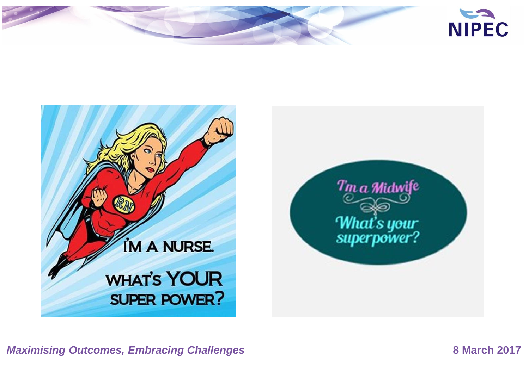



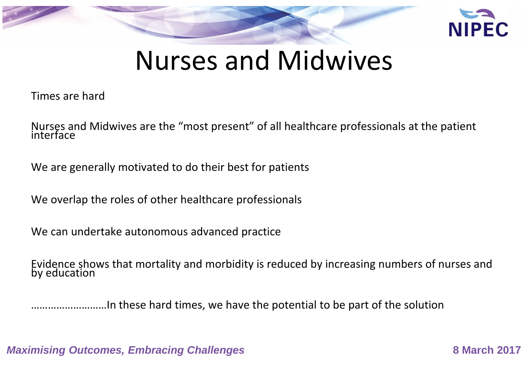

### Nurses and Midwives

Times are hard

Nurses and Midwives are the "most present" of all healthcare professionals at the patient interface

We are generally motivated to do their best for patients

We overlap the roles of other healthcare professionals

We can undertake autonomous advanced practice

Evidence shows that mortality and morbidity is reduced by increasing numbers of nurses and by education

………………………In these hard times, we have the potential to be part of the solution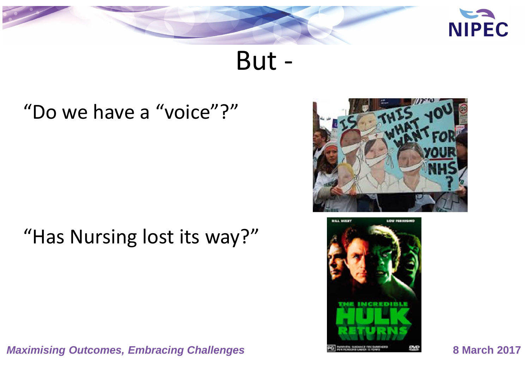

But -

### "Do we have a "voice"?"

### "Has Nursing lost its way?"

*Maximising Outcomes, Embracing Challenges* **<b>8 March 2017** 8 March 2017



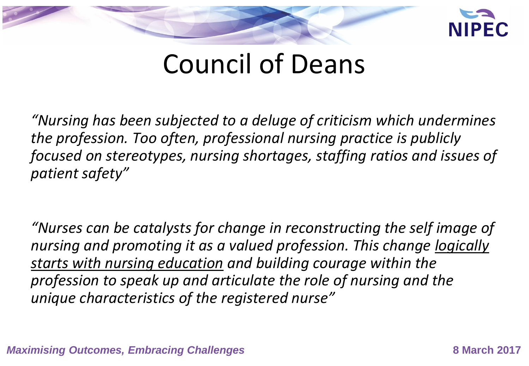

### Council of Deans

*"Nursing has been subjected to a deluge of criticism which undermines the profession. Too often, professional nursing practice is publicly focused on stereotypes, nursing shortages, staffing ratios and issues of patient safety"*

*"Nurses can be catalysts for change in reconstructing the self image of nursing and promoting it as a valued profession. This change logically starts with nursing education and building courage within the profession to speak up and articulate the role of nursing and the unique characteristics of the registered nurse"*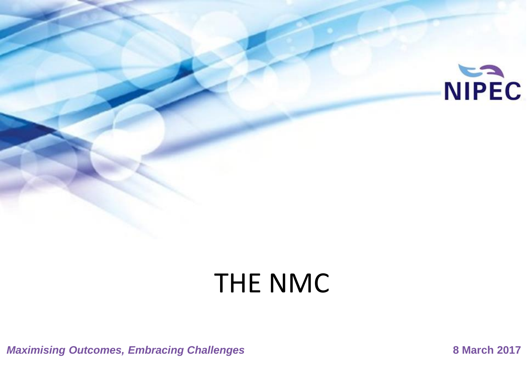

# THE NMC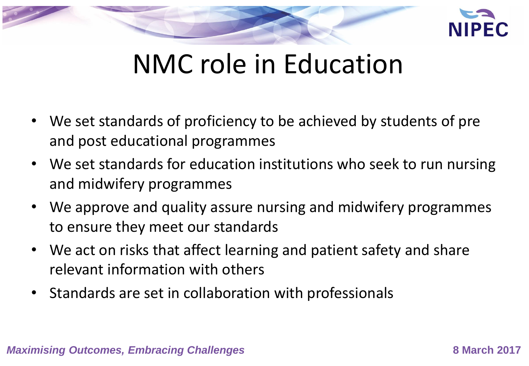

## NMC role in Education

- We set standards of proficiency to be achieved by students of pre and post educational programmes
- We set standards for education institutions who seek to run nursing and midwifery programmes
- We approve and quality assure nursing and midwifery programmes to ensure they meet our standards
- We act on risks that affect learning and patient safety and share relevant information with others
- Standards are set in collaboration with professionals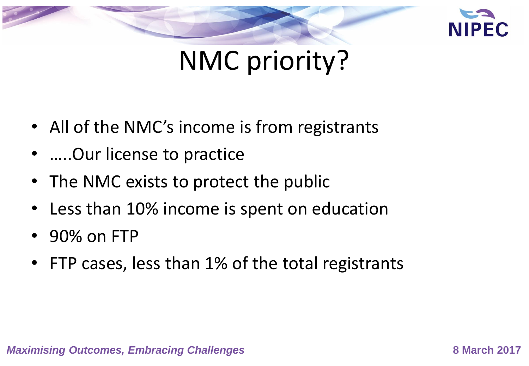

# NMC priority?

- All of the NMC's income is from registrants
- .....Our license to practice
- The NMC exists to protect the public
- Less than 10% income is spent on education
- 90% on FTP
- FTP cases, less than 1% of the total registrants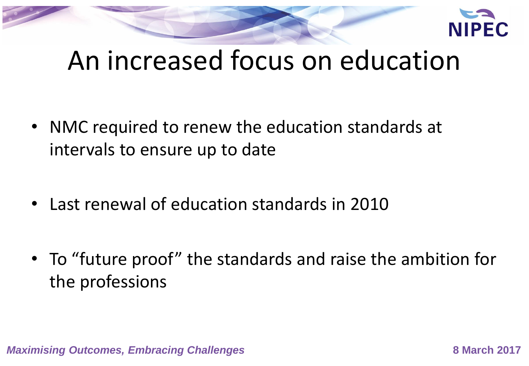

# An increased focus on education

- NMC required to renew the education standards at intervals to ensure up to date
- Last renewal of education standards in 2010
- To "future proof" the standards and raise the ambition for the professions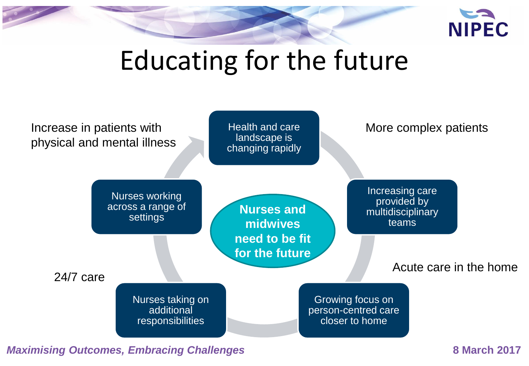

# Educating for the future

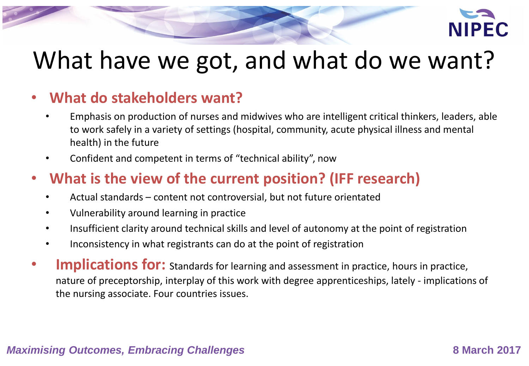

### What have we got, and what do we want?

### • **What do stakeholders want?**

- Emphasis on production of nurses and midwives who are intelligent critical thinkers, leaders, able to work safely in a variety of settings (hospital, community, acute physical illness and mental health) in the future
- Confident and competent in terms of "technical ability", now

### • **What is the view of the current position? (IFF research)**

- Actual standards content not controversial, but not future orientated
- Vulnerability around learning in practice
- Insufficient clarity around technical skills and level of autonomy at the point of registration
- Inconsistency in what registrants can do at the point of registration
- **Implications for:** Standards for learning and assessment in practice, hours in practice, nature of preceptorship, interplay of this work with degree apprenticeships, lately - implications of the nursing associate. Four countries issues.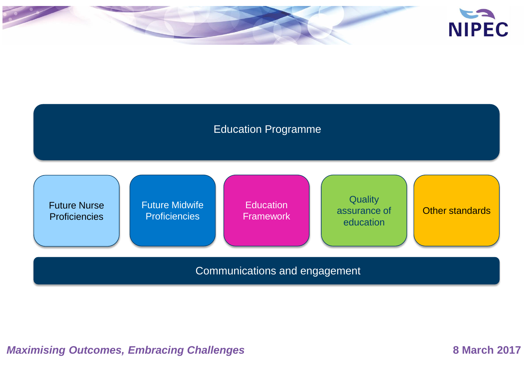

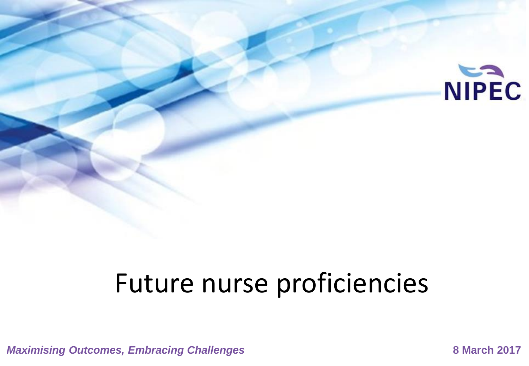

# Future nurse proficiencies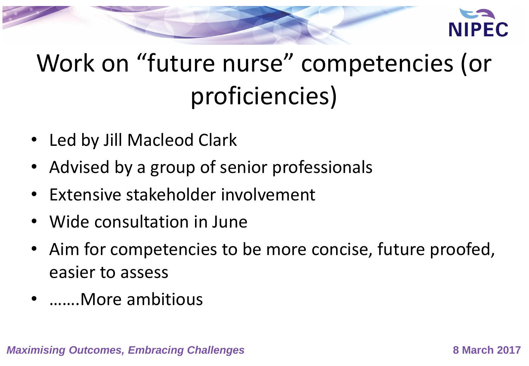

# Work on "future nurse" competencies (or proficiencies)

- Led by Jill Macleod Clark
- Advised by a group of senior professionals
- Extensive stakeholder involvement
- Wide consultation in June
- Aim for competencies to be more concise, future proofed, easier to assess
- …….More ambitious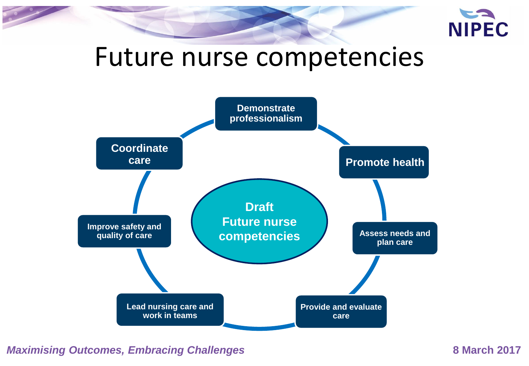

### Future nurse competencies

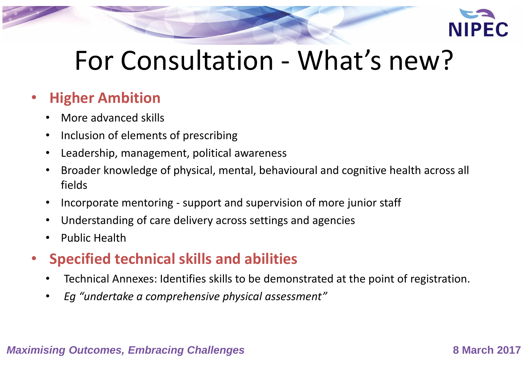

# For Consultation - What's new?

### • **Higher Ambition**

- More advanced skills
- Inclusion of elements of prescribing
- Leadership, management, political awareness
- Broader knowledge of physical, mental, behavioural and cognitive health across all fields
- Incorporate mentoring support and supervision of more junior staff
- Understanding of care delivery across settings and agencies
- Public Health
- **Specified technical skills and abilities**
	- Technical Annexes: Identifies skills to be demonstrated at the point of registration.
	- *Eg "undertake a comprehensive physical assessment"*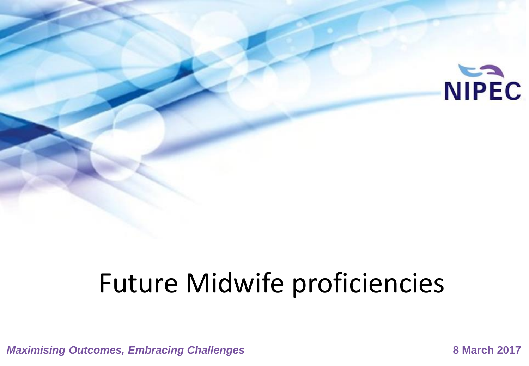

# Future Midwife proficiencies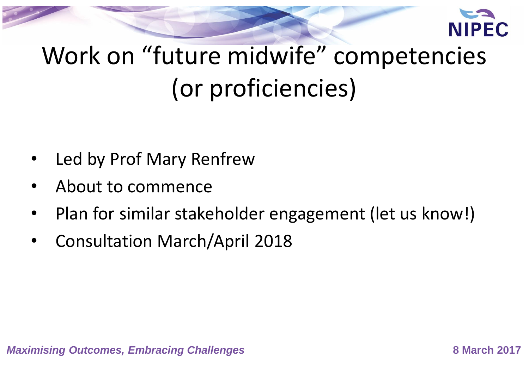

# Work on "future midwife" competencies (or proficiencies)

- Led by Prof Mary Renfrew
- About to commence
- Plan for similar stakeholder engagement (let us know!)
- Consultation March/April 2018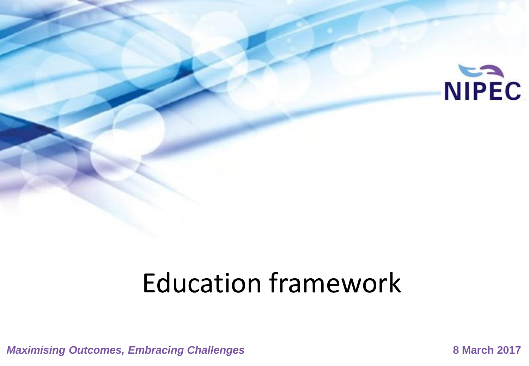

# Education framework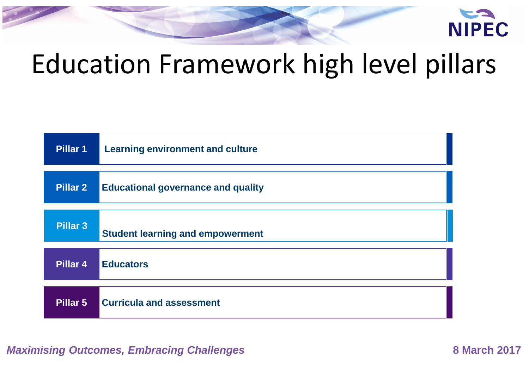

# Education Framework high level pillars

| Pillar 1        | <b>Learning environment and culture</b>   |
|-----------------|-------------------------------------------|
| <b>Pillar 2</b> | <b>Educational governance and quality</b> |
| <b>Pillar 3</b> | <b>Student learning and empowerment</b>   |
| Pillar 4        | <b>Educators</b>                          |
| Pillar 5        | <b>Curricula and assessment</b>           |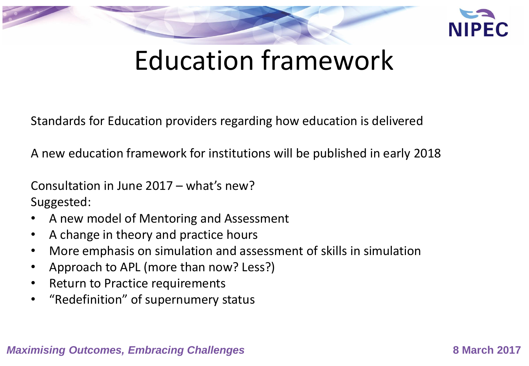

# Education framework

Standards for Education providers regarding how education is delivered

A new education framework for institutions will be published in early 2018

Consultation in June 2017 – what's new? Suggested:

- A new model of Mentoring and Assessment
- A change in theory and practice hours
- More emphasis on simulation and assessment of skills in simulation
- Approach to APL (more than now? Less?)
- Return to Practice requirements
- "Redefinition" of supernumery status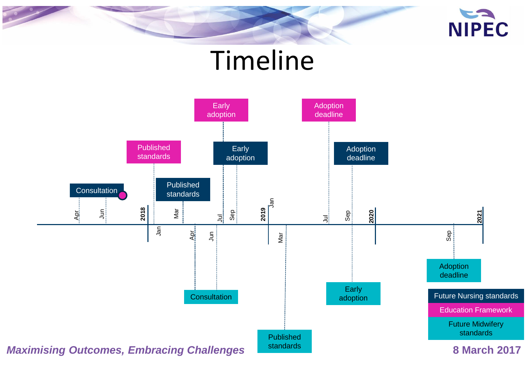

## Timeline

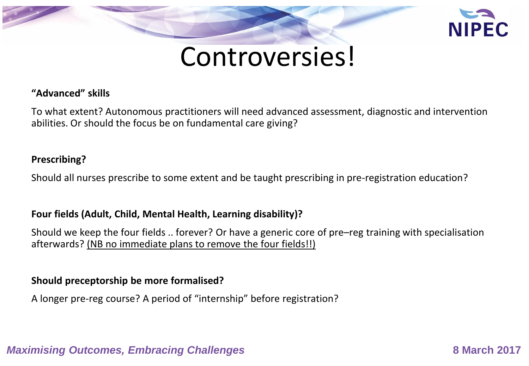

### Controversies!

### **"Advanced" skills**

To what extent? Autonomous practitioners will need advanced assessment, diagnostic and intervention abilities. Or should the focus be on fundamental care giving?

### **Prescribing?**

Should all nurses prescribe to some extent and be taught prescribing in pre-registration education?

### **Four fields (Adult, Child, Mental Health, Learning disability)?**

Should we keep the four fields .. forever? Or have a generic core of pre–reg training with specialisation afterwards? (NB no immediate plans to remove the four fields!!)

### **Should preceptorship be more formalised?**

A longer pre-reg course? A period of "internship" before registration?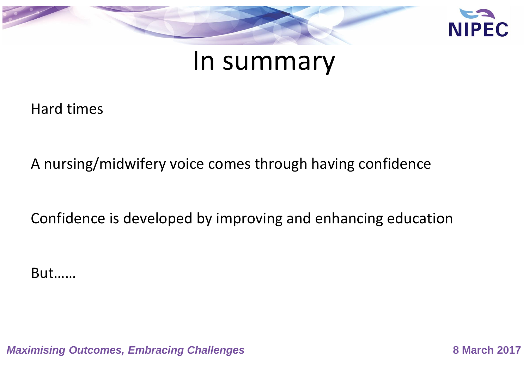

### In summary

Hard times

A nursing/midwifery voice comes through having confidence

Confidence is developed by improving and enhancing education

But……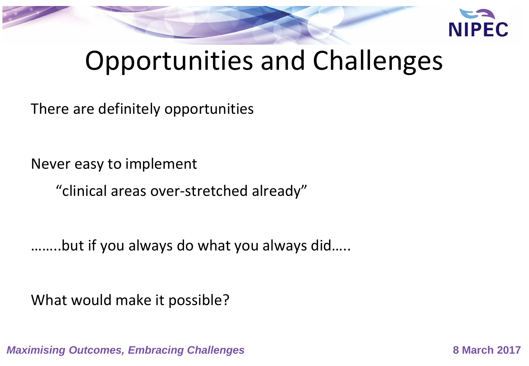

# Opportunities and Challenges

There are definitely opportunities

Never easy to implement

"clinical areas over-stretched already"

……..but if you always do what you always did…..

What would make it possible?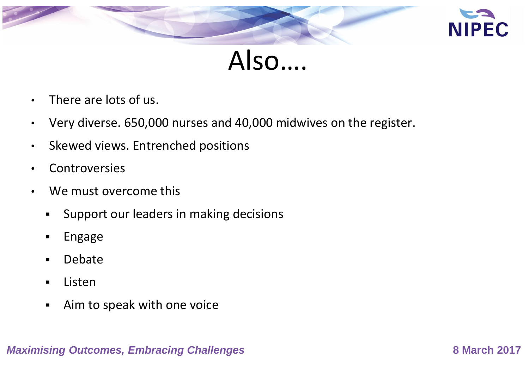

Also….

- There are lots of us.
- Very diverse. 650,000 nurses and 40,000 midwives on the register.
- Skewed views. Entrenched positions
- Controversies
- We must overcome this
	- **Support our leaders in making decisions**
	- **Engage**
	- **-** Debate
	- **E** Listen
	- Aim to speak with one voice